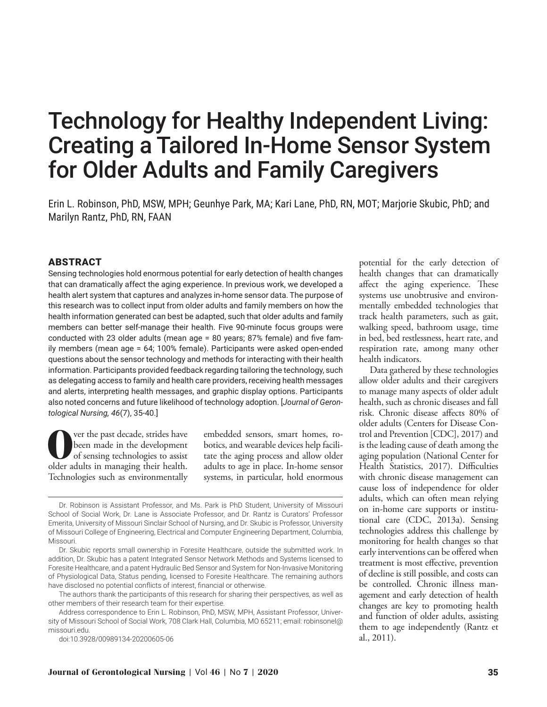# Technology for Healthy Independent Living: Creating a Tailored In-Home Sensor System for Older Adults and Family Caregivers

Erin L. Robinson, PhD, MSW, MPH; Geunhye Park, MA; Kari Lane, PhD, RN, MOT; Marjorie Skubic, PhD; and Marilyn Rantz, PhD, RN, FAAN

# ABSTRACT

Sensing technologies hold enormous potential for early detection of health changes that can dramatically affect the aging experience. In previous work, we developed a health alert system that captures and analyzes in-home sensor data. The purpose of this research was to collect input from older adults and family members on how the health information generated can best be adapted, such that older adults and family members can better self-manage their health. Five 90-minute focus groups were conducted with 23 older adults (mean age = 80 years; 87% female) and five family members (mean age = 64; 100% female). Participants were asked open-ended questions about the sensor technology and methods for interacting with their health information. Participants provided feedback regarding tailoring the technology, such as delegating access to family and health care providers, receiving health messages and alerts, interpreting health messages, and graphic display options. Participants also noted concerns and future likelihood of technology adoption. [*Journal of Gerontological Nursing, 46*(7), 35-40.]

**O**ver the past decade, strides have<br>
of sensing technologies to assist<br>
older edults in managing their health been made in the development older adults in managing their health. Technologies such as environmentally

embedded sensors, smart homes, robotics, and wearable devices help facilitate the aging process and allow older adults to age in place. In-home sensor systems, in particular, hold enormous

doi:10.3928/00989134-20200605-06

potential for the early detection of health changes that can dramatically affect the aging experience. These systems use unobtrusive and environmentally embedded technologies that track health parameters, such as gait, walking speed, bathroom usage, time in bed, bed restlessness, heart rate, and respiration rate, among many other health indicators.

Data gathered by these technologies allow older adults and their caregivers to manage many aspects of older adult health, such as chronic diseases and fall risk. Chronic disease affects 80% of older adults (Centers for Disease Control and Prevention [CDC], 2017) and is the leading cause of death among the aging population (National Center for Health Statistics, 2017). Difficulties with chronic disease management can cause loss of independence for older adults, which can often mean relying on in-home care supports or institutional care (CDC, 2013a). Sensing technologies address this challenge by monitoring for health changes so that early interventions can be offered when treatment is most effective, prevention of decline is still possible, and costs can be controlled. Chronic illness management and early detection of health changes are key to promoting health and function of older adults, assisting them to age independently (Rantz et al., 2011).

Dr. Robinson is Assistant Professor, and Ms. Park is PhD Student, University of Missouri School of Social Work, Dr. Lane is Associate Professor, and Dr. Rantz is Curators' Professor Emerita, University of Missouri Sinclair School of Nursing, and Dr. Skubic is Professor, University of Missouri College of Engineering, Electrical and Computer Engineering Department, Columbia, Missouri.

Dr. Skubic reports small ownership in Foresite Healthcare, outside the submitted work. In addition, Dr. Skubic has a patent Integrated Sensor Network Methods and Systems licensed to Foresite Healthcare, and a patent Hydraulic Bed Sensor and System for Non-Invasive Monitoring of Physiological Data, Status pending, licensed to Foresite Healthcare. The remaining authors have disclosed no potential conflicts of interest, financial or otherwise.

The authors thank the participants of this research for sharing their perspectives, as well as other members of their research team for their expertise.

Address correspondence to Erin L. Robinson, PhD, MSW, MPH, Assistant Professor, University of Missouri School of Social Work, 708 Clark Hall, Columbia, MO 65211; email: robinsonel@ missouri.edu.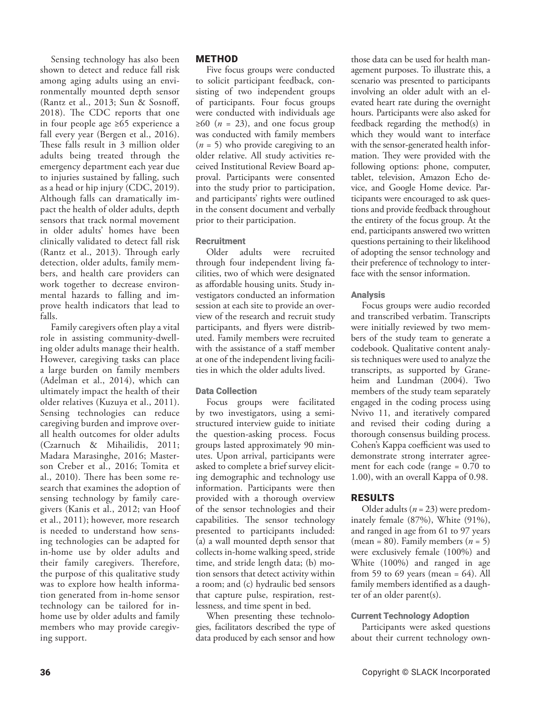Sensing technology has also been shown to detect and reduce fall risk among aging adults using an environmentally mounted depth sensor (Rantz et al., 2013; Sun & Sosnoff, 2018). The CDC reports that one in four people age ≥65 experience a fall every year (Bergen et al., 2016). These falls result in 3 million older adults being treated through the emergency department each year due to injuries sustained by falling, such as a head or hip injury (CDC, 2019). Although falls can dramatically impact the health of older adults, depth sensors that track normal movement in older adults' homes have been clinically validated to detect fall risk (Rantz et al., 2013). Through early detection, older adults, family members, and health care providers can work together to decrease environmental hazards to falling and improve health indicators that lead to falls.

Family caregivers often play a vital role in assisting community-dwelling older adults manage their health. However, caregiving tasks can place a large burden on family members (Adelman et al., 2014), which can ultimately impact the health of their older relatives (Kuzuya et al., 2011). Sensing technologies can reduce caregiving burden and improve overall health outcomes for older adults (Czarnuch & Mihailidis, 2011; Madara Marasinghe, 2016; Masterson Creber et al., 2016; Tomita et al., 2010). There has been some research that examines the adoption of sensing technology by family caregivers (Kanis et al., 2012; van Hoof et al., 2011); however, more research is needed to understand how sensing technologies can be adapted for in-home use by older adults and their family caregivers. Therefore, the purpose of this qualitative study was to explore how health information generated from in-home sensor technology can be tailored for inhome use by older adults and family members who may provide caregiving support.

# METHOD

Five focus groups were conducted to solicit participant feedback, consisting of two independent groups of participants. Four focus groups were conducted with individuals age  $\geq 60$  (*n* = 23), and one focus group was conducted with family members (*n* = 5) who provide caregiving to an older relative. All study activities received Institutional Review Board approval. Participants were consented into the study prior to participation, and participants' rights were outlined in the consent document and verbally prior to their participation.

#### Recruitment

Older adults were recruited through four independent living facilities, two of which were designated as affordable housing units. Study investigators conducted an information session at each site to provide an overview of the research and recruit study participants, and flyers were distributed. Family members were recruited with the assistance of a staff member at one of the independent living facilities in which the older adults lived.

# Data Collection

Focus groups were facilitated by two investigators, using a semistructured interview guide to initiate the question-asking process. Focus groups lasted approximately 90 minutes. Upon arrival, participants were asked to complete a brief survey eliciting demographic and technology use information. Participants were then provided with a thorough overview of the sensor technologies and their capabilities. The sensor technology presented to participants included: (a) a wall mounted depth sensor that collects in-home walking speed, stride time, and stride length data; (b) motion sensors that detect activity within a room; and (c) hydraulic bed sensors that capture pulse, respiration, restlessness, and time spent in bed.

When presenting these technologies, facilitators described the type of data produced by each sensor and how

those data can be used for health management purposes. To illustrate this, a scenario was presented to participants involving an older adult with an elevated heart rate during the overnight hours. Participants were also asked for feedback regarding the method(s) in which they would want to interface with the sensor-generated health information. They were provided with the following options: phone, computer, tablet, television, Amazon Echo device, and Google Home device. Participants were encouraged to ask questions and provide feedback throughout the entirety of the focus group. At the end, participants answered two written questions pertaining to their likelihood of adopting the sensor technology and their preference of technology to interface with the sensor information.

# **Analysis**

Focus groups were audio recorded and transcribed verbatim. Transcripts were initially reviewed by two members of the study team to generate a codebook. Qualitative content analysis techniques were used to analyze the transcripts, as supported by Graneheim and Lundman (2004). Two members of the study team separately engaged in the coding process using Nvivo 11, and iteratively compared and revised their coding during a thorough consensus building process. Cohen's Kappa coefficient was used to demonstrate strong interrater agreement for each code (range = 0.70 to 1.00), with an overall Kappa of 0.98.

# RESULTS

Older adults (*n* = 23) were predominately female (87%), White (91%), and ranged in age from 61 to 97 years (mean = 80). Family members  $(n = 5)$ were exclusively female (100%) and White (100%) and ranged in age from 59 to 69 years (mean =  $64$ ). All family members identified as a daughter of an older parent(s).

# Current Technology Adoption

Participants were asked questions about their current technology own-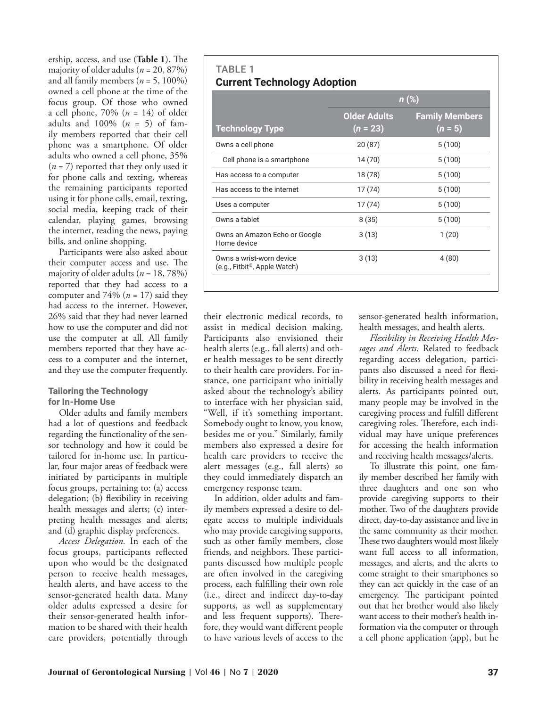ership, access, and use (**Table 1**). The majority of older adults ( $n = 20, 87\%$ ) and all family members  $(n = 5, 100\%)$ owned a cell phone at the time of the focus group. Of those who owned a cell phone, 70% (*n* = 14) of older adults and 100% (*n* = 5) of family members reported that their cell phone was a smartphone. Of older adults who owned a cell phone, 35%  $(n = 7)$  reported that they only used it for phone calls and texting, whereas the remaining participants reported using it for phone calls, email, texting, social media, keeping track of their calendar, playing games, browsing the internet, reading the news, paying bills, and online shopping.

Participants were also asked about their computer access and use. The majority of older adults (*n* = 18, 78%) reported that they had access to a computer and  $74\%$  ( $n = 17$ ) said they had access to the internet. However, 26% said that they had never learned how to use the computer and did not use the computer at all. All family members reported that they have access to a computer and the internet, and they use the computer frequently.

#### Tailoring the Technology for In-Home Use

Older adults and family members had a lot of questions and feedback regarding the functionality of the sensor technology and how it could be tailored for in-home use. In particular, four major areas of feedback were initiated by participants in multiple focus groups, pertaining to: (a) access delegation; (b) flexibility in receiving health messages and alerts; (c) interpreting health messages and alerts; and (d) graphic display preferences.

*Access Delegation.* In each of the focus groups, participants reflected upon who would be the designated person to receive health messages, health alerts, and have access to the sensor-generated health data. Many older adults expressed a desire for their sensor-generated health information to be shared with their health care providers, potentially through

| <b>TABLE 1</b> |                                    |
|----------------|------------------------------------|
|                | <b>Current Technology Adoption</b> |

|                                                                       | $n$ (%)                           |                                    |  |
|-----------------------------------------------------------------------|-----------------------------------|------------------------------------|--|
| <b>Technology Type</b>                                                | <b>Older Adults</b><br>$(n = 23)$ | <b>Family Members</b><br>$(n = 5)$ |  |
| Owns a cell phone                                                     | 20(87)                            | 5(100)                             |  |
| Cell phone is a smartphone                                            | 14 (70)                           | 5(100)                             |  |
| Has access to a computer                                              | 18 (78)                           | 5(100)                             |  |
| Has access to the internet                                            | 17 (74)                           | 5(100)                             |  |
| Uses a computer                                                       | 17 (74)                           | 5(100)                             |  |
| Owns a tablet                                                         | 8(35)                             | 5(100)                             |  |
| Owns an Amazon Echo or Google<br>Home device                          | 3(13)                             | 1(20)                              |  |
| Owns a wrist-worn device<br>(e.g., Fitbit <sup>®</sup> , Apple Watch) | 3(13)                             | 4(80)                              |  |

their electronic medical records, to assist in medical decision making. Participants also envisioned their health alerts (e.g., fall alerts) and other health messages to be sent directly to their health care providers. For instance, one participant who initially asked about the technology's ability to interface with her physician said, "Well, if it's something important. Somebody ought to know, you know, besides me or you." Similarly, family members also expressed a desire for health care providers to receive the alert messages (e.g., fall alerts) so they could immediately dispatch an emergency response team.

In addition, older adults and family members expressed a desire to delegate access to multiple individuals who may provide caregiving supports, such as other family members, close friends, and neighbors. These participants discussed how multiple people are often involved in the caregiving process, each fulfilling their own role (i.e., direct and indirect day-to-day supports, as well as supplementary and less frequent supports). Therefore, they would want different people to have various levels of access to the sensor-generated health information, health messages, and health alerts.

*Flexibility in Receiving Health Messages and Alerts.* Related to feedback regarding access delegation, participants also discussed a need for flexibility in receiving health messages and alerts. As participants pointed out, many people may be involved in the caregiving process and fulfill different caregiving roles. Therefore, each individual may have unique preferences for accessing the health information and receiving health messages/alerts.

To illustrate this point, one family member described her family with three daughters and one son who provide caregiving supports to their mother. Two of the daughters provide direct, day-to-day assistance and live in the same community as their mother. These two daughters would most likely want full access to all information, messages, and alerts, and the alerts to come straight to their smartphones so they can act quickly in the case of an emergency. The participant pointed out that her brother would also likely want access to their mother's health information via the computer or through a cell phone application (app), but he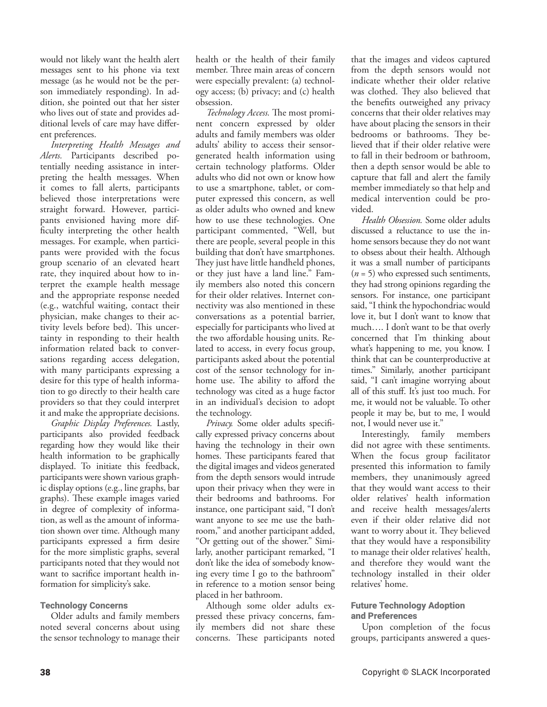would not likely want the health alert messages sent to his phone via text message (as he would not be the person immediately responding). In addition, she pointed out that her sister who lives out of state and provides additional levels of care may have different preferences.

*Interpreting Health Messages and Alerts.* Participants described potentially needing assistance in interpreting the health messages. When it comes to fall alerts, participants believed those interpretations were straight forward. However, participants envisioned having more difficulty interpreting the other health messages. For example, when participants were provided with the focus group scenario of an elevated heart rate, they inquired about how to interpret the example health message and the appropriate response needed (e.g., watchful waiting, contact their physician, make changes to their activity levels before bed). This uncertainty in responding to their health information related back to conversations regarding access delegation, with many participants expressing a desire for this type of health information to go directly to their health care providers so that they could interpret it and make the appropriate decisions.

*Graphic Display Preferences.* Lastly, participants also provided feedback regarding how they would like their health information to be graphically displayed. To initiate this feedback, participants were shown various graphic display options (e.g., line graphs, bar graphs). These example images varied in degree of complexity of information, as well as the amount of information shown over time. Although many participants expressed a firm desire for the more simplistic graphs, several participants noted that they would not want to sacrifice important health information for simplicity's sake.

#### Technology Concerns

Older adults and family members noted several concerns about using the sensor technology to manage their health or the health of their family member. Three main areas of concern were especially prevalent: (a) technology access; (b) privacy; and (c) health obsession.

*Technology Access.* The most prominent concern expressed by older adults and family members was older adults' ability to access their sensorgenerated health information using certain technology platforms. Older adults who did not own or know how to use a smartphone, tablet, or computer expressed this concern, as well as older adults who owned and knew how to use these technologies. One participant commented, "Well, but there are people, several people in this building that don't have smartphones. They just have little handheld phones, or they just have a land line." Family members also noted this concern for their older relatives. Internet connectivity was also mentioned in these conversations as a potential barrier, especially for participants who lived at the two affordable housing units. Related to access, in every focus group, participants asked about the potential cost of the sensor technology for inhome use. The ability to afford the technology was cited as a huge factor in an individual's decision to adopt the technology.

*Privacy*. Some older adults specifically expressed privacy concerns about having the technology in their own homes. These participants feared that the digital images and videos generated from the depth sensors would intrude upon their privacy when they were in their bedrooms and bathrooms. For instance, one participant said, "I don't want anyone to see me use the bathroom," and another participant added, "Or getting out of the shower." Similarly, another participant remarked, "I don't like the idea of somebody knowing every time I go to the bathroom" in reference to a motion sensor being placed in her bathroom.

Although some older adults expressed these privacy concerns, family members did not share these concerns. These participants noted that the images and videos captured from the depth sensors would not indicate whether their older relative was clothed. They also believed that the benefits outweighed any privacy concerns that their older relatives may have about placing the sensors in their bedrooms or bathrooms. They believed that if their older relative were to fall in their bedroom or bathroom, then a depth sensor would be able to capture that fall and alert the family member immediately so that help and medical intervention could be provided.

*Health Obsession.* Some older adults discussed a reluctance to use the inhome sensors because they do not want to obsess about their health. Although it was a small number of participants (*n* = 5) who expressed such sentiments, they had strong opinions regarding the sensors. For instance, one participant said, "I think the hypochondriac would love it, but I don't want to know that much…. I don't want to be that overly concerned that I'm thinking about what's happening to me, you know. I think that can be counterproductive at times." Similarly, another participant said, "I can't imagine worrying about all of this stuff. It's just too much. For me, it would not be valuable. To other people it may be, but to me, I would not, I would never use it."

Interestingly, family members did not agree with these sentiments. When the focus group facilitator presented this information to family members, they unanimously agreed that they would want access to their older relatives' health information and receive health messages/alerts even if their older relative did not want to worry about it. They believed that they would have a responsibility to manage their older relatives' health, and therefore they would want the technology installed in their older relatives' home.

## Future Technology Adoption and Preferences

Upon completion of the focus groups, participants answered a ques-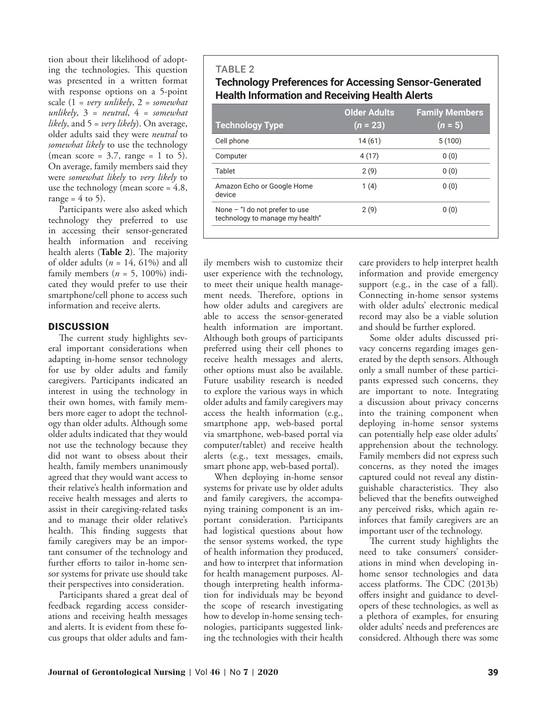tion about their likelihood of adopting the technologies. This question was presented in a written format with response options on a 5-point scale (1 = *very unlikely*, 2 = *somewhat unlikely*, 3 = *neutral*, 4 = *somewhat likely*, and 5 = *very likely*). On average, older adults said they were *neutral* to *somewhat likely* to use the technology (mean score =  $3.7$ , range = 1 to 5). On average, family members said they were *somewhat likely* to *very likely* to use the technology (mean score = 4.8, range =  $4$  to 5).

Participants were also asked which technology they preferred to use in accessing their sensor-generated health information and receiving health alerts (**Table 2**). The majority of older adults  $(n = 14, 61\%)$  and all family members  $(n = 5, 100\%)$  indicated they would prefer to use their smartphone/cell phone to access such information and receive alerts.

# **DISCUSSION**

The current study highlights several important considerations when adapting in-home sensor technology for use by older adults and family caregivers. Participants indicated an interest in using the technology in their own homes, with family members more eager to adopt the technology than older adults. Although some older adults indicated that they would not use the technology because they did not want to obsess about their health, family members unanimously agreed that they would want access to their relative's health information and receive health messages and alerts to assist in their caregiving-related tasks and to manage their older relative's health. This finding suggests that family caregivers may be an important consumer of the technology and further efforts to tailor in-home sensor systems for private use should take their perspectives into consideration.

Participants shared a great deal of feedback regarding access considerations and receiving health messages and alerts. It is evident from these focus groups that older adults and famTABLE 2 **Technology Preferences for Accessing Sensor-Generated Health Information and Receiving Health Alerts**

| <b>Technology Type</b>                                              | <b>Older Adults</b><br>$(n = 23)$ | <b>Family Members</b><br>$(n = 5)$ |
|---------------------------------------------------------------------|-----------------------------------|------------------------------------|
| Cell phone                                                          | 14(61)                            | 5(100)                             |
| Computer                                                            | 4(17)                             | 0(0)                               |
| Tablet                                                              | 2(9)                              | 0(0)                               |
| Amazon Echo or Google Home<br>device                                | 1(4)                              | 0(0)                               |
| None $-$ "I do not prefer to use<br>technology to manage my health" | 2(9)                              | 0(0)                               |
|                                                                     |                                   |                                    |

ily members wish to customize their user experience with the technology, to meet their unique health management needs. Therefore, options in how older adults and caregivers are able to access the sensor-generated health information are important. Although both groups of participants preferred using their cell phones to receive health messages and alerts, other options must also be available. Future usability research is needed to explore the various ways in which older adults and family caregivers may access the health information (e.g., smartphone app, web-based portal via smartphone, web-based portal via computer/tablet) and receive health alerts (e.g., text messages, emails, smart phone app, web-based portal).

When deploying in-home sensor systems for private use by older adults and family caregivers, the accompanying training component is an important consideration. Participants had logistical questions about how the sensor systems worked, the type of health information they produced, and how to interpret that information for health management purposes. Although interpreting health information for individuals may be beyond the scope of research investigating how to develop in-home sensing technologies, participants suggested linking the technologies with their health care providers to help interpret health information and provide emergency support (e.g., in the case of a fall). Connecting in-home sensor systems with older adults' electronic medical record may also be a viable solution and should be further explored.

Some older adults discussed privacy concerns regarding images generated by the depth sensors. Although only a small number of these participants expressed such concerns, they are important to note. Integrating a discussion about privacy concerns into the training component when deploying in-home sensor systems can potentially help ease older adults' apprehension about the technology. Family members did not express such concerns, as they noted the images captured could not reveal any distinguishable characteristics. They also believed that the benefits outweighed any perceived risks, which again reinforces that family caregivers are an important user of the technology.

The current study highlights the need to take consumers' considerations in mind when developing inhome sensor technologies and data access platforms. The CDC (2013b) offers insight and guidance to developers of these technologies, as well as a plethora of examples, for ensuring older adults' needs and preferences are considered. Although there was some